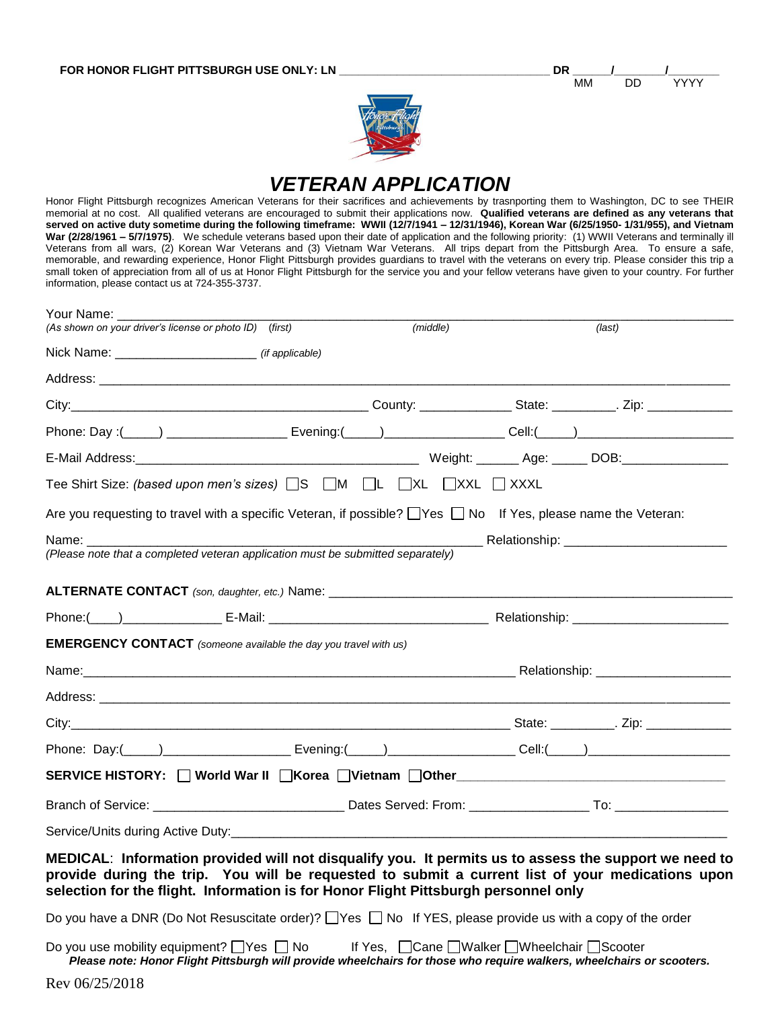| $- -$<br>. |  |
|------------|--|



## *VETERAN APPLICATION*

Honor Flight Pittsburgh recognizes American Veterans for their sacrifices and achievements by trasnporting them to Washington, DC to see THEIR memorial at no cost. All qualified veterans are encouraged to submit their applications now. **Qualified veterans are defined as any veterans that served on active duty sometime during the following timeframe: WWII (12/7/1941 – 12/31/1946), Korean War (6/25/1950- 1/31/955), and Vietnam War (2/28/1961 – 5/7/1975)**. We schedule veterans based upon their date of application and the following priority: (1) WWII Veterans and terminally ill Veterans from all wars, (2) Korean War Veterans and (3) Vietnam War Veterans. All trips depart from the Pittsburgh Area. To ensure a safe, memorable, and rewarding experience, Honor Flight Pittsburgh provides guardians to travel with the veterans on every trip. Please consider this trip a small token of appreciation from all of us at Honor Flight Pittsburgh for the service you and your fellow veterans have given to your country. For further information, please contact us at 724-355-3737.

| Your Name: The Controller<br>(As shown on your driver's license or photo ID) (first)                                                                                                                                                                                                             | (middle)                                       |  | (last) |
|--------------------------------------------------------------------------------------------------------------------------------------------------------------------------------------------------------------------------------------------------------------------------------------------------|------------------------------------------------|--|--------|
| Nick Name: __________________________________ (if applicable)                                                                                                                                                                                                                                    |                                                |  |        |
|                                                                                                                                                                                                                                                                                                  |                                                |  |        |
|                                                                                                                                                                                                                                                                                                  |                                                |  |        |
| Phone: Day:(_____) _______________________ Evening:(_____) __________________Cell:(_____) ____________________                                                                                                                                                                                   |                                                |  |        |
|                                                                                                                                                                                                                                                                                                  |                                                |  |        |
| Tee Shirt Size: (based upon men's sizes) $\square$ S $\square$ M $\square$ L $\square$ XL $\square$ XXL $\square$ XXXL                                                                                                                                                                           |                                                |  |        |
| Are you requesting to travel with a specific Veteran, if possible? $\Box$ Yes $\Box$ No If Yes, please name the Veteran:                                                                                                                                                                         |                                                |  |        |
|                                                                                                                                                                                                                                                                                                  |                                                |  |        |
| (Please note that a completed veteran application must be submitted separately)                                                                                                                                                                                                                  |                                                |  |        |
|                                                                                                                                                                                                                                                                                                  |                                                |  |        |
|                                                                                                                                                                                                                                                                                                  |                                                |  |        |
| <b>EMERGENCY CONTACT</b> (someone available the day you travel with us)                                                                                                                                                                                                                          |                                                |  |        |
|                                                                                                                                                                                                                                                                                                  |                                                |  |        |
|                                                                                                                                                                                                                                                                                                  |                                                |  |        |
|                                                                                                                                                                                                                                                                                                  |                                                |  |        |
|                                                                                                                                                                                                                                                                                                  |                                                |  |        |
| SERVICE HISTORY: World War II Korea Vietnam Other ______________________________                                                                                                                                                                                                                 |                                                |  |        |
|                                                                                                                                                                                                                                                                                                  |                                                |  |        |
|                                                                                                                                                                                                                                                                                                  |                                                |  |        |
| MEDICAL: Information provided will not disqualify you. It permits us to assess the support we need to<br>provide during the trip. You will be requested to submit a current list of your medications upon<br>selection for the flight. Information is for Honor Flight Pittsburgh personnel only |                                                |  |        |
| Do you have a DNR (Do Not Resuscitate order)? $\Box$ Yes $\Box$ No If YES, please provide us with a copy of the order                                                                                                                                                                            |                                                |  |        |
| Do you use mobility equipment? $\Box$ Yes $\Box$ No<br>Please note: Honor Flight Pittsburgh will provide wheelchairs for those who require walkers, wheelchairs or scooters.                                                                                                                     | If Yes, □ Cane □ Walker □ Wheelchair □ Scooter |  |        |
| Rev 06/25/2018                                                                                                                                                                                                                                                                                   |                                                |  |        |